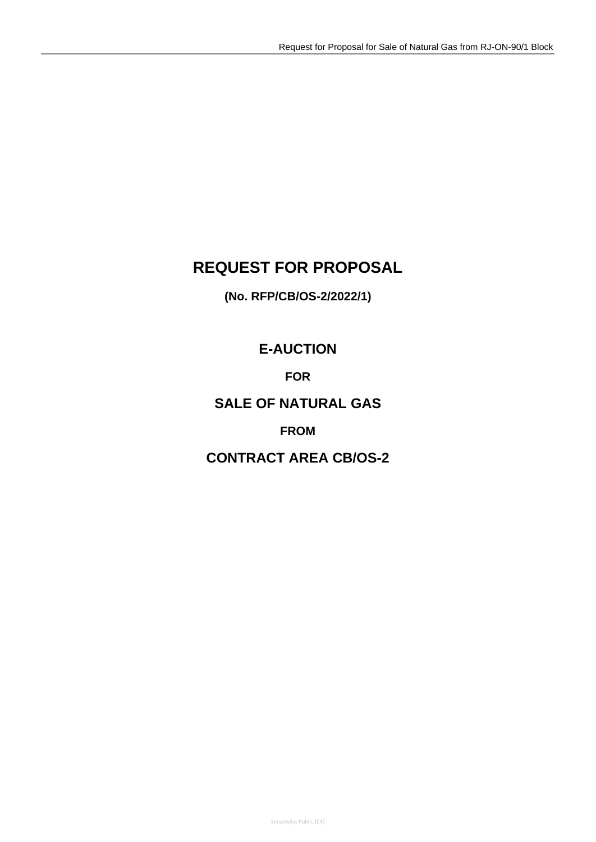# **REQUEST FOR PROPOSAL**

**(No. RFP/CB/OS-2/2022/1)**

# **E-AUCTION**

**FOR**

## **SALE OF NATURAL GAS**

## **FROM**

# **CONTRACT AREA CB/OS-2**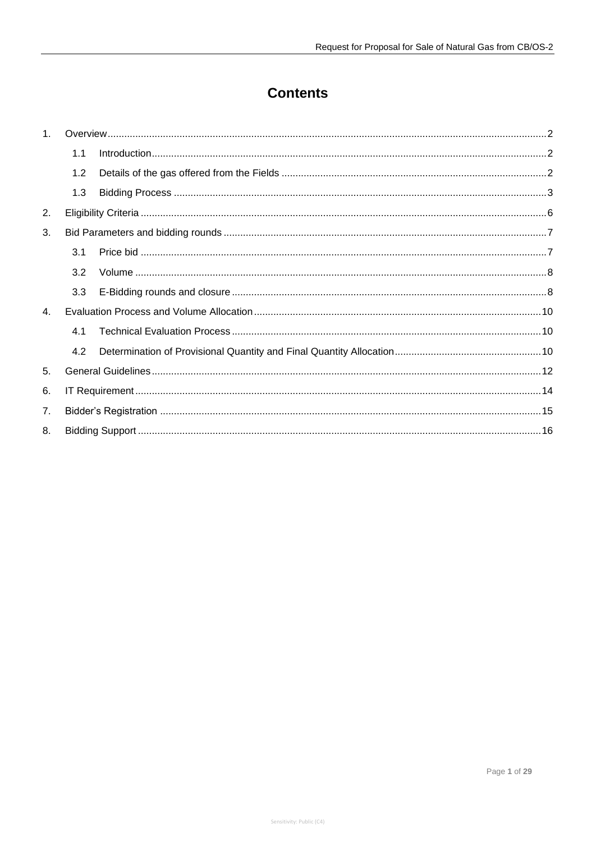# **Contents**

| 1              |     |  |  |
|----------------|-----|--|--|
|                | 1.1 |  |  |
|                | 1.2 |  |  |
|                | 1.3 |  |  |
| 2.             |     |  |  |
| 3.             |     |  |  |
|                | 3.1 |  |  |
|                | 3.2 |  |  |
|                | 3.3 |  |  |
| $\mathbf{4}$ . |     |  |  |
|                | 4.1 |  |  |
|                | 4.2 |  |  |
| 5.             |     |  |  |
| 6.             |     |  |  |
| 7.             |     |  |  |
| 8.             |     |  |  |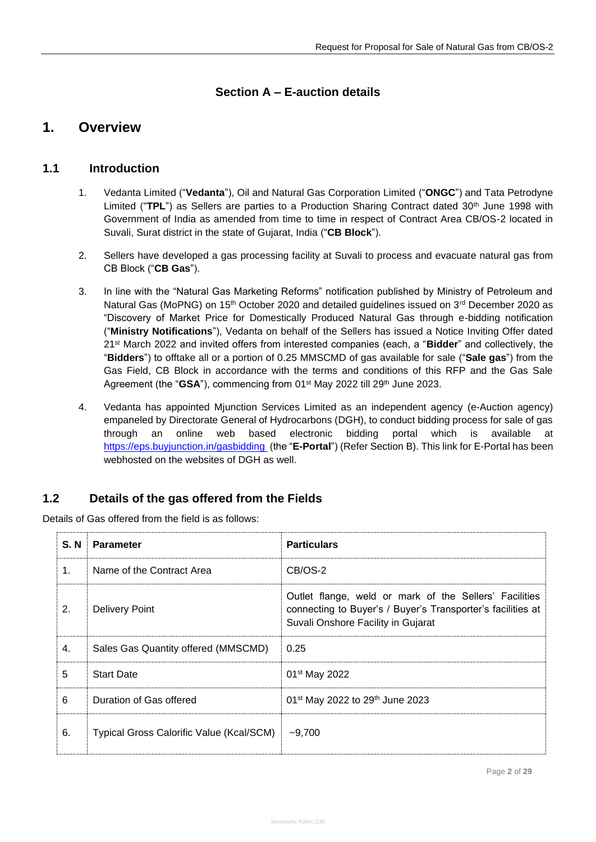### **Section A – E-auction details**

## <span id="page-2-0"></span>**1. Overview**

### <span id="page-2-1"></span>**1.1 Introduction**

- 1. Vedanta Limited ("**Vedanta**"), Oil and Natural Gas Corporation Limited ("**ONGC**") and Tata Petrodyne Limited ("TPL") as Sellers are parties to a Production Sharing Contract dated 30<sup>th</sup> June 1998 with Government of India as amended from time to time in respect of Contract Area CB/OS-2 located in Suvali, Surat district in the state of Gujarat, India ("**CB Block**").
- 2. Sellers have developed a gas processing facility at Suvali to process and evacuate natural gas from CB Block ("**CB Gas**").
- 3. In line with the "Natural Gas Marketing Reforms" notification published by Ministry of Petroleum and Natural Gas (MoPNG) on 15<sup>th</sup> October 2020 and detailed guidelines issued on 3<sup>rd</sup> December 2020 as "Discovery of Market Price for Domestically Produced Natural Gas through e-bidding notification ("**Ministry Notifications**"), Vedanta on behalf of the Sellers has issued a Notice Inviting Offer dated 21st March 2022 and invited offers from interested companies (each, a "**Bidder**" and collectively, the "**Bidders**") to offtake all or a portion of 0.25 MMSCMD of gas available for sale ("**Sale gas**") from the Gas Field, CB Block in accordance with the terms and conditions of this RFP and the Gas Sale Agreement (the "GSA"), commencing from 01<sup>st</sup> May 2022 till 29<sup>th</sup> June 2023.
- 4. Vedanta has appointed Mjunction Services Limited as an independent agency (e-Auction agency) empaneled by Directorate General of Hydrocarbons (DGH), to conduct bidding process for sale of gas through an online web based electronic bidding portal which is available at [https://eps.buyjunction.in/gasbidding](https://eps.buyjunction.in/gasbidding/) (the "**E-Portal**") (Refer Section B). This link for E-Portal has been webhosted on the websites of DGH as well.

### <span id="page-2-2"></span>**1.2 Details of the gas offered from the Fields**

Details of Gas offered from the field is as follows:

| S. N | <b>Parameter</b>                         | <b>Particulars</b>                                                                                                                                          |
|------|------------------------------------------|-------------------------------------------------------------------------------------------------------------------------------------------------------------|
| 1.   | Name of the Contract Area                | CB/OS-2                                                                                                                                                     |
| 2.   | <b>Delivery Point</b>                    | Outlet flange, weld or mark of the Sellers' Facilities<br>connecting to Buyer's / Buyer's Transporter's facilities at<br>Suvali Onshore Facility in Gujarat |
| 4.   | Sales Gas Quantity offered (MMSCMD)      | 0.25                                                                                                                                                        |
| 5    | <b>Start Date</b>                        | 01 <sup>st</sup> May 2022                                                                                                                                   |
| 6    | Duration of Gas offered                  | 01 <sup>st</sup> May 2022 to 29 <sup>th</sup> June 2023                                                                                                     |
| 6.   | Typical Gross Calorific Value (Kcal/SCM) | $-9,700$                                                                                                                                                    |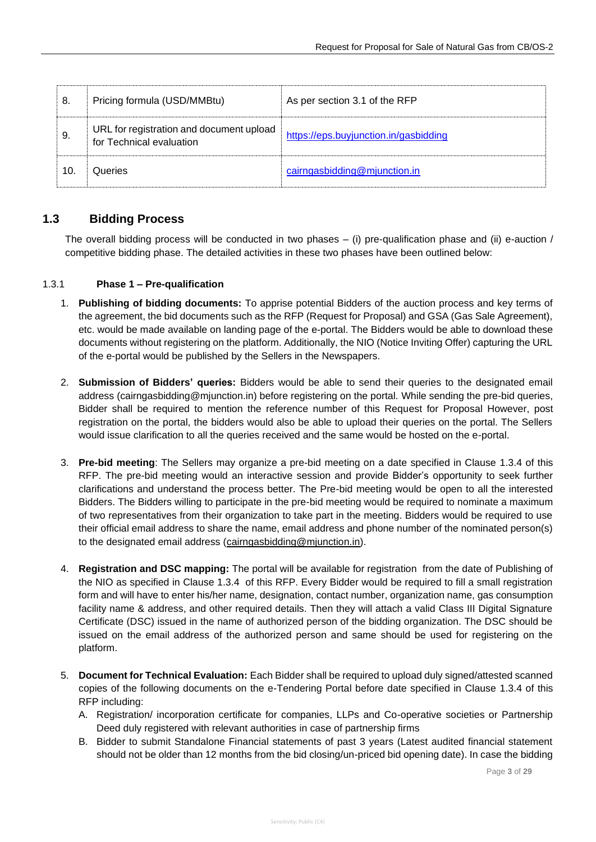| 8.  | Pricing formula (USD/MMBtu)                                          | As per section 3.1 of the RFP         |
|-----|----------------------------------------------------------------------|---------------------------------------|
| 9.  | URL for registration and document upload<br>for Technical evaluation | https://eps.buyjunction.in/gasbidding |
| 10. | Queries                                                              | cairngasbidding@mjunction.in          |

### <span id="page-3-0"></span>**1.3 Bidding Process**

The overall bidding process will be conducted in two phases – (i) pre-qualification phase and (ii) e-auction / competitive bidding phase. The detailed activities in these two phases have been outlined below:

### 1.3.1 **Phase 1 – Pre-qualification**

- 1. **Publishing of bidding documents:** To apprise potential Bidders of the auction process and key terms of the agreement, the bid documents such as the RFP (Request for Proposal) and GSA (Gas Sale Agreement), etc. would be made available on landing page of the e-portal. The Bidders would be able to download these documents without registering on the platform. Additionally, the NIO (Notice Inviting Offer) capturing the URL of the e-portal would be published by the Sellers in the Newspapers.
- 2. **Submission of Bidders' queries:** Bidders would be able to send their queries to the designated email address (cairngasbidding@mjunction.in) before registering on the portal. While sending the pre-bid queries, Bidder shall be required to mention the reference number of this Request for Proposal However, post registration on the portal, the bidders would also be able to upload their queries on the portal. The Sellers would issue clarification to all the queries received and the same would be hosted on the e-portal.
- 3. **Pre-bid meeting**: The Sellers may organize a pre-bid meeting on a date specified in Clause [1.3.4](#page-5-0) of this RFP. The pre-bid meeting would an interactive session and provide Bidder's opportunity to seek further clarifications and understand the process better. The Pre-bid meeting would be open to all the interested Bidders. The Bidders willing to participate in the pre-bid meeting would be required to nominate a maximum of two representatives from their organization to take part in the meeting. Bidders would be required to use their official email address to share the name, email address and phone number of the nominated person(s) to the designated email address [\(cairngasbidding@mjunction.in\)](mailto:cairngasbidding@mjunction.in).
- 4. **Registration and DSC mapping:** The portal will be available for registration from the date of Publishing of the NIO as specified in Clause [1.3.4](#page-5-0) of this RFP. Every Bidder would be required to fill a small registration form and will have to enter his/her name, designation, contact number, organization name, gas consumption facility name & address, and other required details. Then they will attach a valid Class III Digital Signature Certificate (DSC) issued in the name of authorized person of the bidding organization. The DSC should be issued on the email address of the authorized person and same should be used for registering on the platform.
- 5. **Document for Technical Evaluation:** Each Bidder shall be required to upload duly signed/attested scanned copies of the following documents on the e-Tendering Portal before date specified in Clause [1.3.4](#page-5-0) of this RFP including:
	- A. Registration/ incorporation certificate for companies, LLPs and Co-operative societies or Partnership Deed duly registered with relevant authorities in case of partnership firms
	- B. Bidder to submit Standalone Financial statements of past 3 years (Latest audited financial statement should not be older than 12 months from the bid closing/un-priced bid opening date). In case the bidding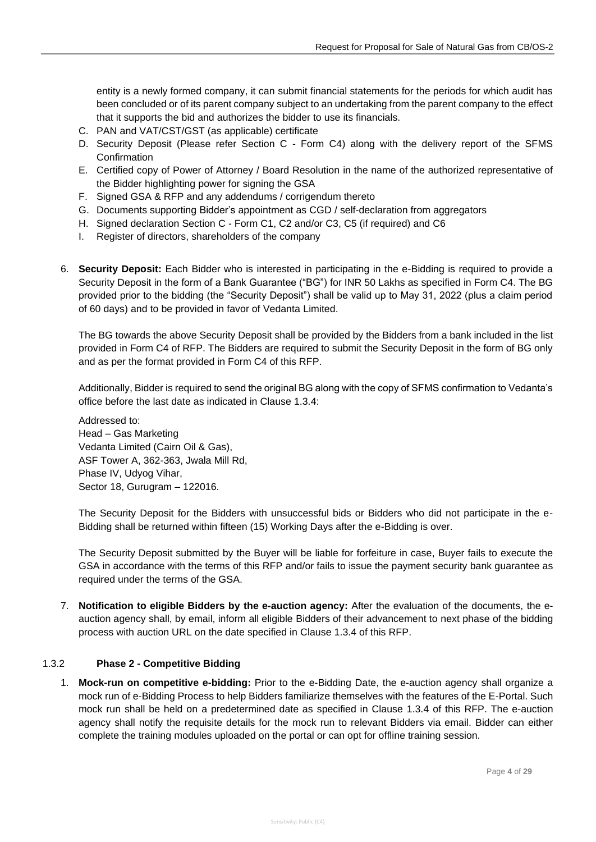entity is a newly formed company, it can submit financial statements for the periods for which audit has been concluded or of its parent company subject to an undertaking from the parent company to the effect that it supports the bid and authorizes the bidder to use its financials.

- C. PAN and VAT/CST/GST (as applicable) certificate
- D. Security Deposit (Please refer Section C Form C4) along with the delivery report of the SFMS Confirmation
- E. Certified copy of Power of Attorney / Board Resolution in the name of the authorized representative of the Bidder highlighting power for signing the GSA
- F. Signed GSA & RFP and any addendums / corrigendum thereto
- G. Documents supporting Bidder's appointment as CGD / self-declaration from aggregators
- H. Signed declaration Section C Form C1, C2 and/or C3, C5 (if required) and C6
- I. Register of directors, shareholders of the company
- 6. **Security Deposit:** Each Bidder who is interested in participating in the e-Bidding is required to provide a Security Deposit in the form of a Bank Guarantee ("BG") for INR 50 Lakhs as specified in Form C4. The BG provided prior to the bidding (the "Security Deposit") shall be valid up to May 31, 2022 (plus a claim period of 60 days) and to be provided in favor of Vedanta Limited.

The BG towards the above Security Deposit shall be provided by the Bidders from a bank included in the list provided in Form C4 of RFP. The Bidders are required to submit the Security Deposit in the form of BG only and as per the format provided in Form C4 of this RFP.

Additionally, Bidder is required to send the original BG along with the copy of SFMS confirmation to Vedanta's office before the last date as indicated in Clause 1.3.4:

Addressed to: Head – Gas Marketing Vedanta Limited (Cairn Oil & Gas), ASF Tower A, 362-363, Jwala Mill Rd, Phase IV, Udyog Vihar, Sector 18, Gurugram – 122016.

The Security Deposit for the Bidders with unsuccessful bids or Bidders who did not participate in the e-Bidding shall be returned within fifteen (15) Working Days after the e-Bidding is over.

The Security Deposit submitted by the Buyer will be liable for forfeiture in case, Buyer fails to execute the GSA in accordance with the terms of this RFP and/or fails to issue the payment security bank guarantee as required under the terms of the GSA.

7. **Notification to eligible Bidders by the e-auction agency:** After the evaluation of the documents, the eauction agency shall, by email, inform all eligible Bidders of their advancement to next phase of the bidding process with auction URL on the date specified in Clause [1.3.4](#page-5-0) of this RFP.

#### 1.3.2 **Phase 2 - Competitive Bidding**

1. **Mock-run on competitive e-bidding:** Prior to the e-Bidding Date, the e-auction agency shall organize a mock run of e-Bidding Process to help Bidders familiarize themselves with the features of the E-Portal. Such mock run shall be held on a predetermined date as specified in Clause [1.3.4](#page-5-0) of this RFP. The e-auction agency shall notify the requisite details for the mock run to relevant Bidders via email. Bidder can either complete the training modules uploaded on the portal or can opt for offline training session.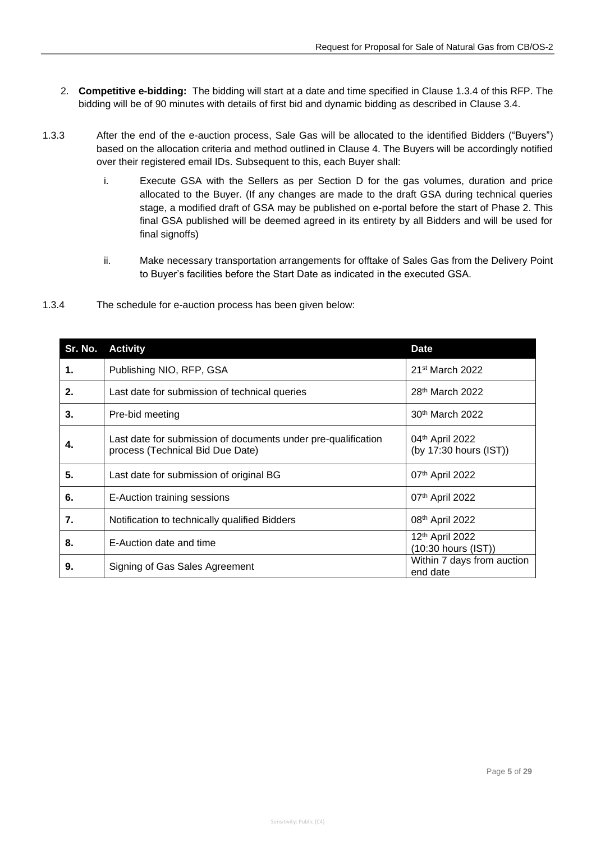- 2. **Competitive e-bidding:** The bidding will start at a date and time specified in Clause [1.3.4](#page-5-0) of this RFP. The bidding will be of 90 minutes with details of first bid and dynamic bidding as described in Clause 3.4.
- 1.3.3 After the end of the e-auction process, Sale Gas will be allocated to the identified Bidders ("Buyers") based on the allocation criteria and method outlined in Clause 4. The Buyers will be accordingly notified over their registered email IDs. Subsequent to this, each Buyer shall:
	- i. Execute GSA with the Sellers as per Section D for the gas volumes, duration and price allocated to the Buyer. (If any changes are made to the draft GSA during technical queries stage, a modified draft of GSA may be published on e-portal before the start of Phase 2. This final GSA published will be deemed agreed in its entirety by all Bidders and will be used for final signoffs)
	- ii. Make necessary transportation arrangements for offtake of Sales Gas from the Delivery Point to Buyer's facilities before the Start Date as indicated in the executed GSA.
- 

<span id="page-5-0"></span>1.3.4 The schedule for e-auction process has been given below:

| Sr. No. | <b>Activity</b>                                                                                   | <b>Date</b>                               |
|---------|---------------------------------------------------------------------------------------------------|-------------------------------------------|
| 1.      | Publishing NIO, RFP, GSA                                                                          | 21 <sup>st</sup> March 2022               |
| 2.      | Last date for submission of technical queries                                                     | 28 <sup>th</sup> March 2022               |
| 3.      | Pre-bid meeting                                                                                   | 30th March 2022                           |
| 4.      | Last date for submission of documents under pre-qualification<br>process (Technical Bid Due Date) | 04th April 2022<br>(by 17:30 hours (IST)) |
| 5.      | Last date for submission of original BG                                                           | 07 <sup>th</sup> April 2022               |
| 6.      | E-Auction training sessions                                                                       | 07 <sup>th</sup> April 2022               |
| 7.      | Notification to technically qualified Bidders                                                     | 08 <sup>th</sup> April 2022               |
| 8.      | E-Auction date and time                                                                           | 12th April 2022<br>(10:30 hours (IST))    |
| 9.      | Signing of Gas Sales Agreement                                                                    | Within 7 days from auction<br>end date    |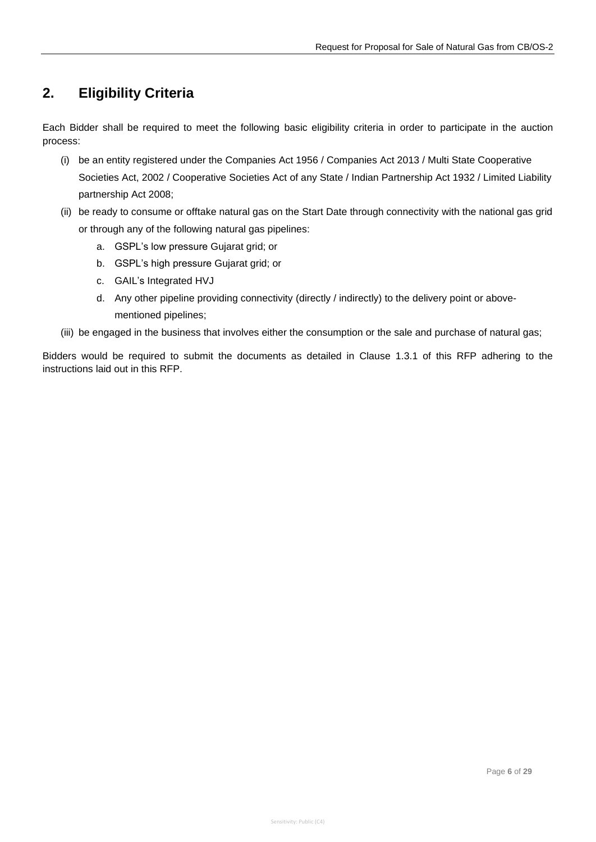# <span id="page-6-0"></span>**2. Eligibility Criteria**

Each Bidder shall be required to meet the following basic eligibility criteria in order to participate in the auction process:

- (i) be an entity registered under the Companies Act 1956 / Companies Act 2013 / Multi State Cooperative Societies Act, 2002 / Cooperative Societies Act of any State / Indian Partnership Act 1932 / Limited Liability partnership Act 2008;
- (ii) be ready to consume or offtake natural gas on the Start Date through connectivity with the national gas grid or through any of the following natural gas pipelines:
	- a. GSPL's low pressure Gujarat grid; or
	- b. GSPL's high pressure Gujarat grid; or
	- c. GAIL's Integrated HVJ
	- d. Any other pipeline providing connectivity (directly / indirectly) to the delivery point or abovementioned pipelines;
- (iii) be engaged in the business that involves either the consumption or the sale and purchase of natural gas;

Bidders would be required to submit the documents as detailed in Clause 1.3.1 of this RFP adhering to the instructions laid out in this RFP.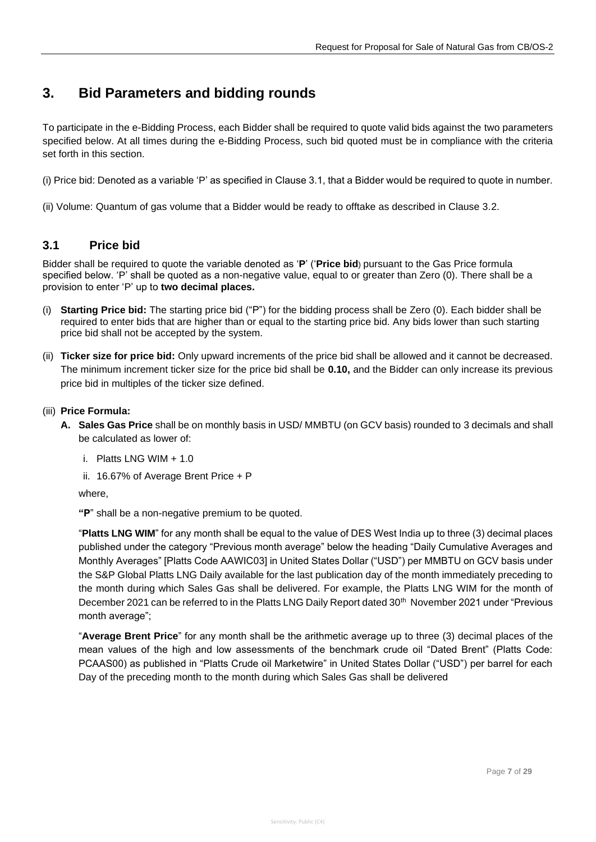## <span id="page-7-0"></span>**3. Bid Parameters and bidding rounds**

To participate in the e-Bidding Process, each Bidder shall be required to quote valid bids against the two parameters specified below. At all times during the e-Bidding Process, such bid quoted must be in compliance with the criteria set forth in this section.

(i) Price bid: Denoted as a variable 'P' as specified in Clause 3.1, that a Bidder would be required to quote in number.

<span id="page-7-1"></span>(ii) Volume: Quantum of gas volume that a Bidder would be ready to offtake as described in Clause 3.2.

### **3.1 Price bid**

Bidder shall be required to quote the variable denoted as '**P**' ('**Price bid**) pursuant to the Gas Price formula specified below. 'P' shall be quoted as a non-negative value, equal to or greater than Zero (0). There shall be a provision to enter 'P' up to **two decimal places.**

- (i) **Starting Price bid:** The starting price bid ("P") for the bidding process shall be Zero (0). Each bidder shall be required to enter bids that are higher than or equal to the starting price bid. Any bids lower than such starting price bid shall not be accepted by the system.
- (ii) **Ticker size for price bid:** Only upward increments of the price bid shall be allowed and it cannot be decreased. The minimum increment ticker size for the price bid shall be **0.10,** and the Bidder can only increase its previous price bid in multiples of the ticker size defined.
- (iii) **Price Formula:**
	- **A. Sales Gas Price** shall be on monthly basis in USD/ MMBTU (on GCV basis) rounded to 3 decimals and shall be calculated as lower of:
		- i. Platts  $ING$  WIM  $+ 1.0$
		- ii. 16.67% of Average Brent Price + P

where,

**"P**" shall be a non-negative premium to be quoted.

"**Platts LNG WIM**" for any month shall be equal to the value of DES West India up to three (3) decimal places published under the category "Previous month average" below the heading "Daily Cumulative Averages and Monthly Averages" [Platts Code AAWIC03] in United States Dollar ("USD") per MMBTU on GCV basis under the S&P Global Platts LNG Daily available for the last publication day of the month immediately preceding to the month during which Sales Gas shall be delivered. For example, the Platts LNG WIM for the month of December 2021 can be referred to in the Platts LNG Daily Report dated 30<sup>th</sup> November 2021 under "Previous month average";

"**Average Brent Price**" for any month shall be the arithmetic average up to three (3) decimal places of the mean values of the high and low assessments of the benchmark crude oil "Dated Brent" (Platts Code: PCAAS00) as published in "Platts Crude oil Marketwire" in United States Dollar ("USD") per barrel for each Day of the preceding month to the month during which Sales Gas shall be delivered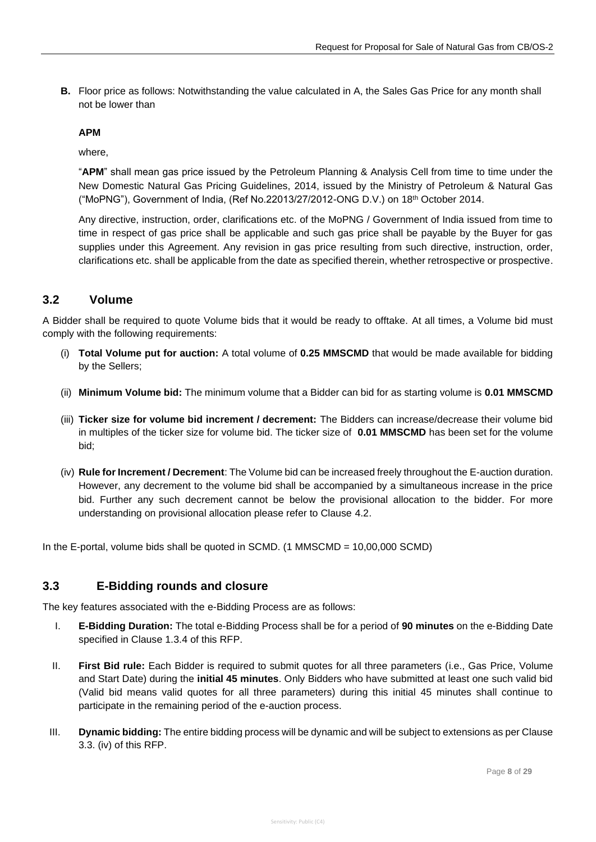**B.** Floor price as follows: Notwithstanding the value calculated in A, the Sales Gas Price for any month shall not be lower than

#### **APM**

where,

"**APM**" shall mean gas price issued by the Petroleum Planning & Analysis Cell from time to time under the New Domestic Natural Gas Pricing Guidelines, 2014, issued by the Ministry of Petroleum & Natural Gas ("MoPNG"), Government of India, (Ref No.22013/27/2012-ONG D.V.) on 18th October 2014.

Any directive, instruction, order, clarifications etc. of the MoPNG / Government of India issued from time to time in respect of gas price shall be applicable and such gas price shall be payable by the Buyer for gas supplies under this Agreement. Any revision in gas price resulting from such directive, instruction, order, clarifications etc. shall be applicable from the date as specified therein, whether retrospective or prospective.

### <span id="page-8-0"></span>**3.2 Volume**

A Bidder shall be required to quote Volume bids that it would be ready to offtake. At all times, a Volume bid must comply with the following requirements:

- (i) **Total Volume put for auction:** A total volume of **0.25 MMSCMD** that would be made available for bidding by the Sellers;
- (ii) **Minimum Volume bid:** The minimum volume that a Bidder can bid for as starting volume is **0.01 MMSCMD**
- (iii) **Ticker size for volume bid increment / decrement:** The Bidders can increase/decrease their volume bid in multiples of the ticker size for volume bid. The ticker size of **0.01 MMSCMD** has been set for the volume bid;
- (iv) **Rule for Increment / Decrement**: The Volume bid can be increased freely throughout the E-auction duration. However, any decrement to the volume bid shall be accompanied by a simultaneous increase in the price bid. Further any such decrement cannot be below the provisional allocation to the bidder. For more understanding on provisional allocation please refer to Clause 4.2.

In the E-portal, volume bids shall be quoted in SCMD. (1 MMSCMD = 10,00,000 SCMD)

### <span id="page-8-1"></span>**3.3 E-Bidding rounds and closure**

The key features associated with the e-Bidding Process are as follows:

- I. **E-Bidding Duration:** The total e-Bidding Process shall be for a period of **90 minutes** on the e-Bidding Date specified in Clause 1.3.4 of this RFP.
- II. **First Bid rule:** Each Bidder is required to submit quotes for all three parameters (i.e., Gas Price, Volume and Start Date) during the **initial 45 minutes**. Only Bidders who have submitted at least one such valid bid (Valid bid means valid quotes for all three parameters) during this initial 45 minutes shall continue to participate in the remaining period of the e-auction process.
- III. **Dynamic bidding:** The entire bidding process will be dynamic and will be subject to extensions as per Clause 3.3. (iv) of this RFP.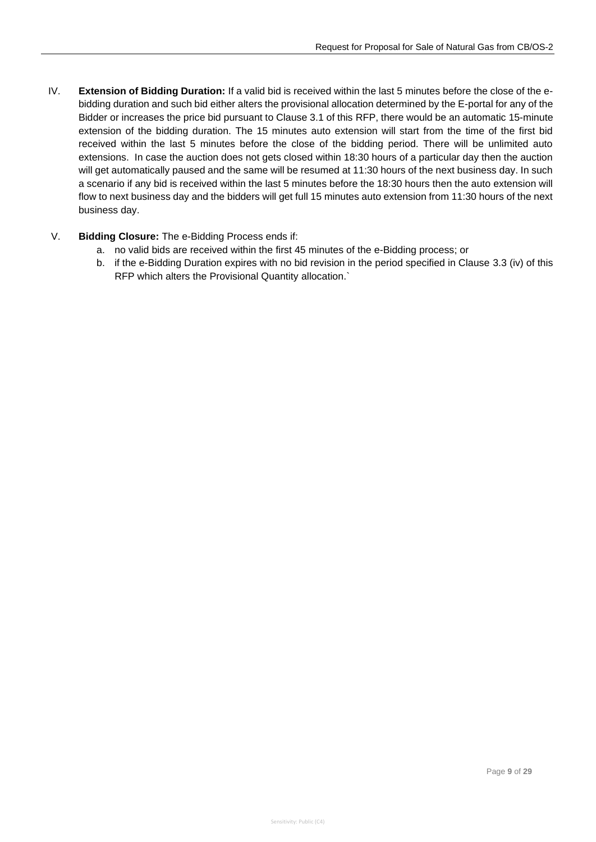- IV. **Extension of Bidding Duration:** If a valid bid is received within the last 5 minutes before the close of the ebidding duration and such bid either alters the provisional allocation determined by the E-portal for any of the Bidder or increases the price bid pursuant to Clause 3.1 of this RFP, there would be an automatic 15-minute extension of the bidding duration. The 15 minutes auto extension will start from the time of the first bid received within the last 5 minutes before the close of the bidding period. There will be unlimited auto extensions. In case the auction does not gets closed within 18:30 hours of a particular day then the auction will get automatically paused and the same will be resumed at 11:30 hours of the next business day. In such a scenario if any bid is received within the last 5 minutes before the 18:30 hours then the auto extension will flow to next business day and the bidders will get full 15 minutes auto extension from 11:30 hours of the next business day.
- V. **Bidding Closure:** The e-Bidding Process ends if:
	- a. no valid bids are received within the first 45 minutes of the e-Bidding process; or
	- b. if the e-Bidding Duration expires with no bid revision in the period specified in Clause 3.3 (iv) of this RFP which alters the Provisional Quantity allocation.`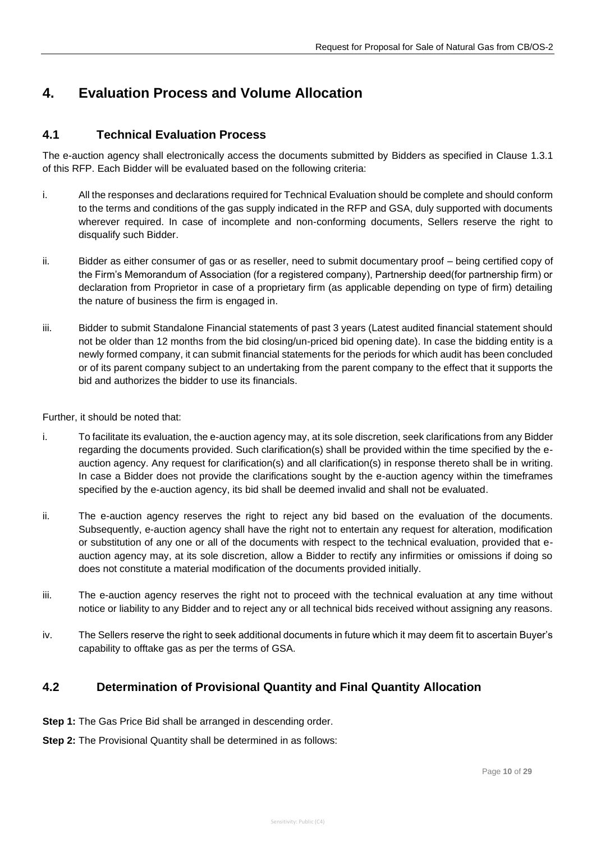# <span id="page-10-0"></span>**4. Evaluation Process and Volume Allocation**

### <span id="page-10-1"></span>**4.1 Technical Evaluation Process**

The e-auction agency shall electronically access the documents submitted by Bidders as specified in Clause 1.3.1 of this RFP. Each Bidder will be evaluated based on the following criteria:

- i. All the responses and declarations required for Technical Evaluation should be complete and should conform to the terms and conditions of the gas supply indicated in the RFP and GSA, duly supported with documents wherever required. In case of incomplete and non-conforming documents, Sellers reserve the right to disqualify such Bidder.
- ii. Bidder as either consumer of gas or as reseller, need to submit documentary proof being certified copy of the Firm's Memorandum of Association (for a registered company), Partnership deed(for partnership firm) or declaration from Proprietor in case of a proprietary firm (as applicable depending on type of firm) detailing the nature of business the firm is engaged in.
- iii. Bidder to submit Standalone Financial statements of past 3 years (Latest audited financial statement should not be older than 12 months from the bid closing/un-priced bid opening date). In case the bidding entity is a newly formed company, it can submit financial statements for the periods for which audit has been concluded or of its parent company subject to an undertaking from the parent company to the effect that it supports the bid and authorizes the bidder to use its financials.

Further, it should be noted that:

- i. To facilitate its evaluation, the e-auction agency may, at its sole discretion, seek clarifications from any Bidder regarding the documents provided. Such clarification(s) shall be provided within the time specified by the eauction agency. Any request for clarification(s) and all clarification(s) in response thereto shall be in writing. In case a Bidder does not provide the clarifications sought by the e-auction agency within the timeframes specified by the e-auction agency, its bid shall be deemed invalid and shall not be evaluated.
- ii. The e-auction agency reserves the right to reject any bid based on the evaluation of the documents. Subsequently, e-auction agency shall have the right not to entertain any request for alteration, modification or substitution of any one or all of the documents with respect to the technical evaluation, provided that eauction agency may, at its sole discretion, allow a Bidder to rectify any infirmities or omissions if doing so does not constitute a material modification of the documents provided initially.
- iii. The e-auction agency reserves the right not to proceed with the technical evaluation at any time without notice or liability to any Bidder and to reject any or all technical bids received without assigning any reasons.
- iv. The Sellers reserve the right to seek additional documents in future which it may deem fit to ascertain Buyer's capability to offtake gas as per the terms of GSA.

### <span id="page-10-2"></span>**4.2 Determination of Provisional Quantity and Final Quantity Allocation**

- **Step 1:** The Gas Price Bid shall be arranged in descending order.
- **Step 2:** The Provisional Quantity shall be determined in as follows: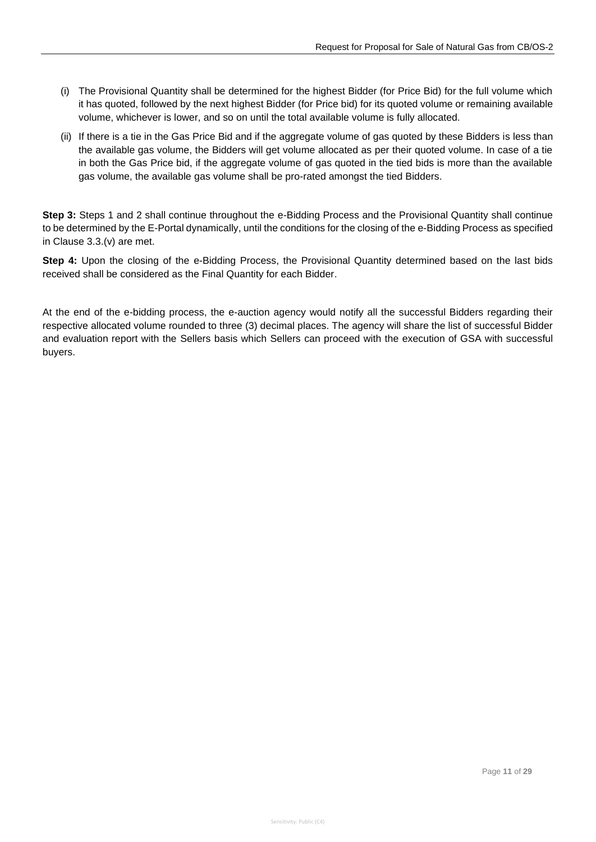- (i) The Provisional Quantity shall be determined for the highest Bidder (for Price Bid) for the full volume which it has quoted, followed by the next highest Bidder (for Price bid) for its quoted volume or remaining available volume, whichever is lower, and so on until the total available volume is fully allocated.
- (ii) If there is a tie in the Gas Price Bid and if the aggregate volume of gas quoted by these Bidders is less than the available gas volume, the Bidders will get volume allocated as per their quoted volume. In case of a tie in both the Gas Price bid, if the aggregate volume of gas quoted in the tied bids is more than the available gas volume, the available gas volume shall be pro-rated amongst the tied Bidders.

**Step 3:** Steps 1 and 2 shall continue throughout the e-Bidding Process and the Provisional Quantity shall continue to be determined by the E-Portal dynamically, until the conditions for the closing of the e-Bidding Process as specified in Clause 3.3.(v) are met.

**Step 4:** Upon the closing of the e-Bidding Process, the Provisional Quantity determined based on the last bids received shall be considered as the Final Quantity for each Bidder.

At the end of the e-bidding process, the e-auction agency would notify all the successful Bidders regarding their respective allocated volume rounded to three (3) decimal places. The agency will share the list of successful Bidder and evaluation report with the Sellers basis which Sellers can proceed with the execution of GSA with successful buyers.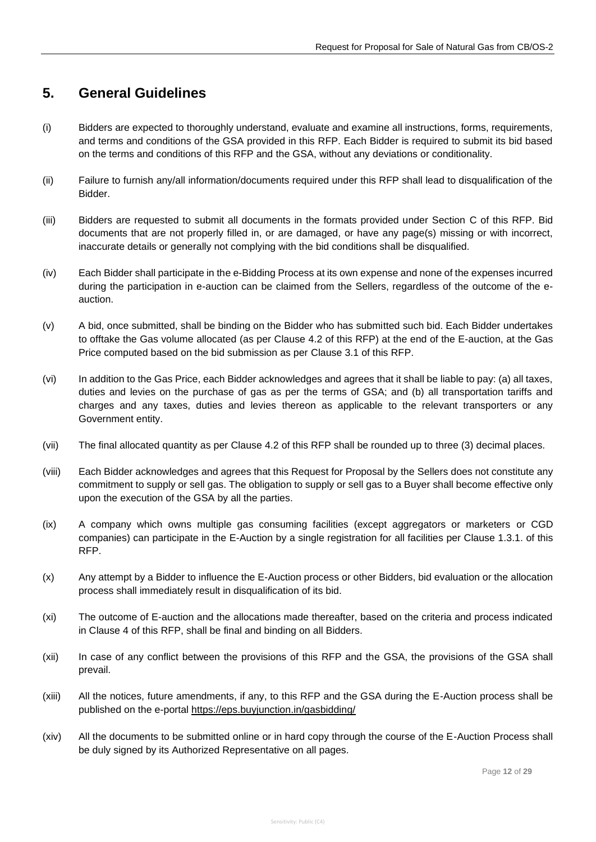## <span id="page-12-0"></span>**5. General Guidelines**

- (i) Bidders are expected to thoroughly understand, evaluate and examine all instructions, forms, requirements, and terms and conditions of the GSA provided in this RFP. Each Bidder is required to submit its bid based on the terms and conditions of this RFP and the GSA, without any deviations or conditionality.
- (ii) Failure to furnish any/all information/documents required under this RFP shall lead to disqualification of the Bidder.
- (iii) Bidders are requested to submit all documents in the formats provided under Section C of this RFP. Bid documents that are not properly filled in, or are damaged, or have any page(s) missing or with incorrect, inaccurate details or generally not complying with the bid conditions shall be disqualified.
- (iv) Each Bidder shall participate in the e-Bidding Process at its own expense and none of the expenses incurred during the participation in e-auction can be claimed from the Sellers, regardless of the outcome of the eauction.
- (v) A bid, once submitted, shall be binding on the Bidder who has submitted such bid. Each Bidder undertakes to offtake the Gas volume allocated (as per Clause 4.2 of this RFP) at the end of the E-auction, at the Gas Price computed based on the bid submission as per Clause 3.1 of this RFP.
- (vi) In addition to the Gas Price, each Bidder acknowledges and agrees that it shall be liable to pay: (a) all taxes, duties and levies on the purchase of gas as per the terms of GSA; and (b) all transportation tariffs and charges and any taxes, duties and levies thereon as applicable to the relevant transporters or any Government entity.
- (vii) The final allocated quantity as per Clause 4.2 of this RFP shall be rounded up to three (3) decimal places.
- (viii) Each Bidder acknowledges and agrees that this Request for Proposal by the Sellers does not constitute any commitment to supply or sell gas. The obligation to supply or sell gas to a Buyer shall become effective only upon the execution of the GSA by all the parties.
- (ix) A company which owns multiple gas consuming facilities (except aggregators or marketers or CGD companies) can participate in the E-Auction by a single registration for all facilities per Clause 1.3.1. of this RFP.
- (x) Any attempt by a Bidder to influence the E-Auction process or other Bidders, bid evaluation or the allocation process shall immediately result in disqualification of its bid.
- (xi) The outcome of E-auction and the allocations made thereafter, based on the criteria and process indicated in Clause 4 of this RFP, shall be final and binding on all Bidders.
- (xii) In case of any conflict between the provisions of this RFP and the GSA, the provisions of the GSA shall prevail.
- (xiii) All the notices, future amendments, if any, to this RFP and the GSA during the E-Auction process shall be published on the e-portal<https://eps.buyjunction.in/gasbidding/>
- (xiv) All the documents to be submitted online or in hard copy through the course of the E-Auction Process shall be duly signed by its Authorized Representative on all pages.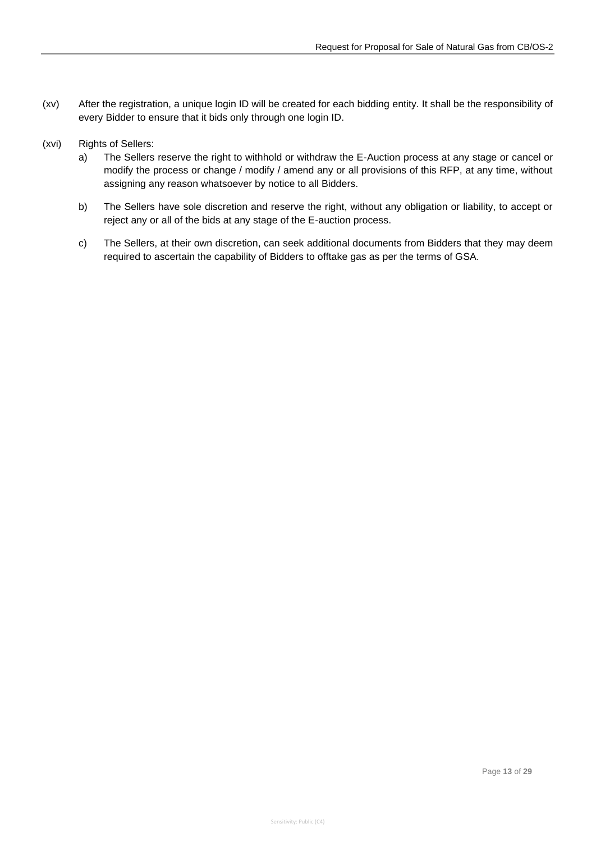- (xv) After the registration, a unique login ID will be created for each bidding entity. It shall be the responsibility of every Bidder to ensure that it bids only through one login ID.
- (xvi) Rights of Sellers:
	- a) The Sellers reserve the right to withhold or withdraw the E-Auction process at any stage or cancel or modify the process or change / modify / amend any or all provisions of this RFP, at any time, without assigning any reason whatsoever by notice to all Bidders.
	- b) The Sellers have sole discretion and reserve the right, without any obligation or liability, to accept or reject any or all of the bids at any stage of the E-auction process.
	- c) The Sellers, at their own discretion, can seek additional documents from Bidders that they may deem required to ascertain the capability of Bidders to offtake gas as per the terms of GSA.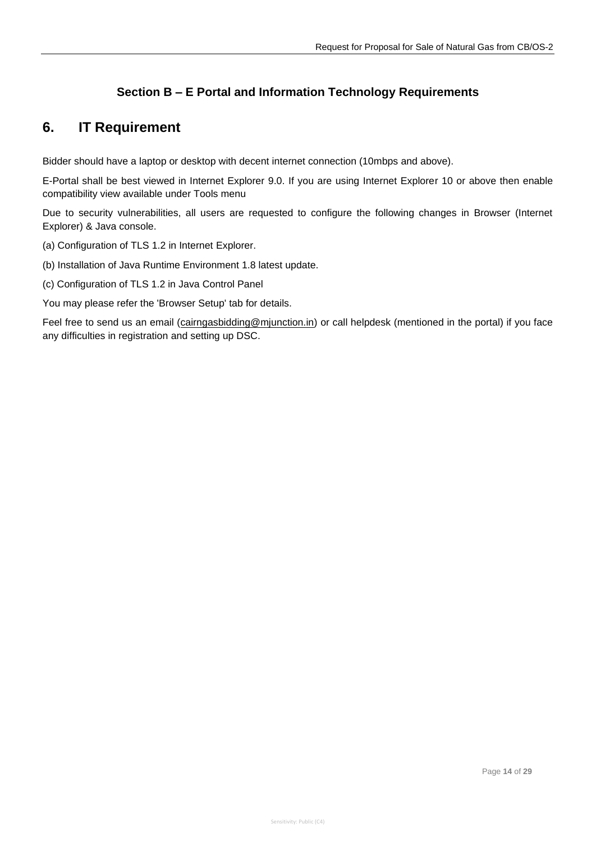### **Section B – E Portal and Information Technology Requirements**

## <span id="page-14-0"></span>**6. IT Requirement**

Bidder should have a laptop or desktop with decent internet connection (10mbps and above).

E-Portal shall be best viewed in Internet Explorer 9.0. If you are using Internet Explorer 10 or above then enable compatibility view available under Tools menu

Due to security vulnerabilities, all users are requested to configure the following changes in Browser (Internet Explorer) & Java console.

- (a) Configuration of TLS 1.2 in Internet Explorer.
- (b) Installation of Java Runtime Environment 1.8 latest update.
- (c) Configuration of TLS 1.2 in Java Control Panel

You may please refer the 'Browser Setup' tab for details.

Feel free to send us an email [\(cairngasbidding@mjunction.in\)](mailto:cairngasbidding@mjunction.in) or call helpdesk (mentioned in the portal) if you face any difficulties in registration and setting up DSC.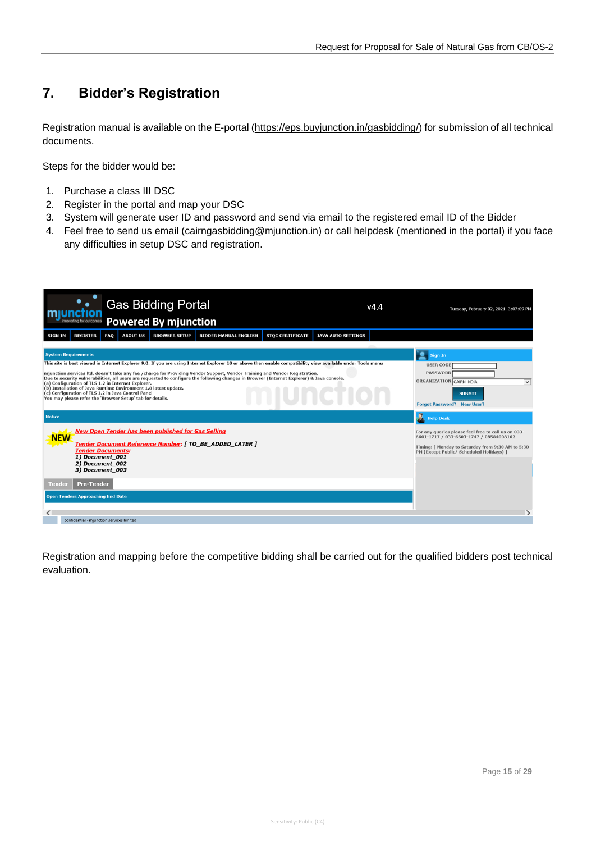# <span id="page-15-0"></span>**7. Bidder's Registration**

Registration manual is available on the E-portal [\(https://eps.buyjunction.in/gasbidding/\)](https://eps.buyjunction.in/gasbidding/) for submission of all technical documents.

Steps for the bidder would be:

- 1. Purchase a class III DSC
- 2. Register in the portal and map your DSC
- 3. System will generate user ID and password and send via email to the registered email ID of the Bidder
- 4. Feel free to send us email [\(cairngasbidding@mjunction.in\)](mailto:cairngasbidding@mjunction.in) or call helpdesk (mentioned in the portal) if you face any difficulties in setup DSC and registration.

| <b>Gas Bidding Portal</b><br>v4.4<br><b>Powered By mjunction</b><br>innovating for outcomes                                                                                                                                                                                                                                                                                                                                                                                                                           | Tuesday, February 02, 2021 3:07:09 PM                                                                                                                                                           |  |  |  |
|-----------------------------------------------------------------------------------------------------------------------------------------------------------------------------------------------------------------------------------------------------------------------------------------------------------------------------------------------------------------------------------------------------------------------------------------------------------------------------------------------------------------------|-------------------------------------------------------------------------------------------------------------------------------------------------------------------------------------------------|--|--|--|
| <b>REGISTER</b><br><b>FAO</b><br><b>BIDDER MANUAL ENGLISH</b><br><b>STOC CERTIFICATE</b><br><b>SIGN IN</b><br><b>ABOUT US</b><br><b>BROWSER SETUP</b><br><b>JAVA AUTO SETTINGS</b>                                                                                                                                                                                                                                                                                                                                    |                                                                                                                                                                                                 |  |  |  |
| <b>System Requirements</b><br>This site is best viewed in Internet Explorer 9.0. If you are using Internet Explorer 10 or above then enable compatibility view available under Tools menu                                                                                                                                                                                                                                                                                                                             | <b>Sign In</b><br><b>USER CODE</b>                                                                                                                                                              |  |  |  |
| mjunction services ltd. doesn't take any fee /charge for Providing Vendor Support, Vendor Training and Vendor Registration.<br>Due to security vulnerabilities, all users are requested to configure the following changes in Browser (Internet Explorer) & Java console.<br>(a) Configuration of TLS 1.2 in Internet Explorer.<br>(b) Installation of Java Runtime Environment 1.8 latest update.<br>(c) Configuration of TLS 1.2 in Java Control Panel<br>You may please refer the 'Browser Setup' tab for details. | <b>PASSWORD</b><br>ORGANIZATION CAIRN INDIA<br>$\overline{\mathbf{v}}$<br><b>SUBMIT</b><br><b>Forgot Password?</b> New User?                                                                    |  |  |  |
| <b>Notice</b>                                                                                                                                                                                                                                                                                                                                                                                                                                                                                                         | <b>N</b> Help Desk                                                                                                                                                                              |  |  |  |
| <b>New Open Tender has been published for Gas Selling</b><br><b>NEW</b><br>Tender Document Reference Number: [ TO_BE_ADDED_LATER ]<br><b>Tender Documents:</b><br>1) Document 001                                                                                                                                                                                                                                                                                                                                     | For any queries please feel free to call us on 033-<br>6601-1717 / 033-6603-1747 / 08584008162<br>Timing: [ Monday to Saturday from 9:30 AM to 5:30<br>PM (Except Public/ Scheduled Holidays) 1 |  |  |  |
| 2) Document 002<br>3) Document 003                                                                                                                                                                                                                                                                                                                                                                                                                                                                                    |                                                                                                                                                                                                 |  |  |  |
| <b>Pre-Tender</b><br>Tende                                                                                                                                                                                                                                                                                                                                                                                                                                                                                            |                                                                                                                                                                                                 |  |  |  |
| <b>Open Tenders Approaching End Date</b>                                                                                                                                                                                                                                                                                                                                                                                                                                                                              |                                                                                                                                                                                                 |  |  |  |
|                                                                                                                                                                                                                                                                                                                                                                                                                                                                                                                       |                                                                                                                                                                                                 |  |  |  |
| confidential - mjunction services limited                                                                                                                                                                                                                                                                                                                                                                                                                                                                             |                                                                                                                                                                                                 |  |  |  |

Registration and mapping before the competitive bidding shall be carried out for the qualified bidders post technical evaluation.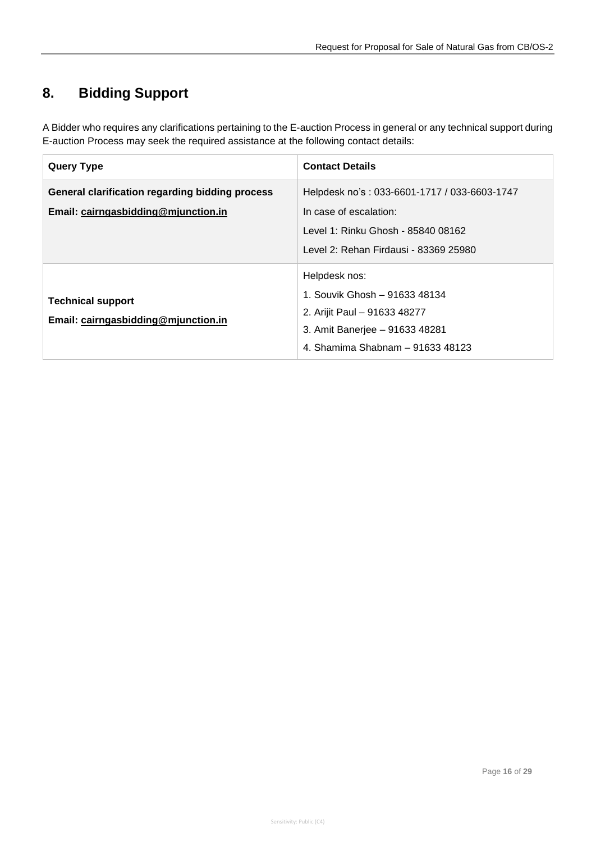# <span id="page-16-0"></span>**8. Bidding Support**

A Bidder who requires any clarifications pertaining to the E-auction Process in general or any technical support during E-auction Process may seek the required assistance at the following contact details:

| <b>Query Type</b>                                                                      | <b>Contact Details</b>                                                                                                                                |
|----------------------------------------------------------------------------------------|-------------------------------------------------------------------------------------------------------------------------------------------------------|
| General clarification regarding bidding process<br>Email: cairngasbidding@mjunction.in | Helpdesk no's: 033-6601-1717 / 033-6603-1747<br>In case of escalation:<br>Level 1: Rinku Ghosh - 85840 08162<br>Level 2: Rehan Firdausi - 83369 25980 |
| <b>Technical support</b><br>Email: cairngasbidding@mjunction.in                        | Helpdesk nos:<br>1. Souvik Ghosh - 91633 48134<br>2. Arijit Paul - 91633 48277<br>3. Amit Banerjee - 91633 48281<br>4. Shamima Shabnam - 91633 48123  |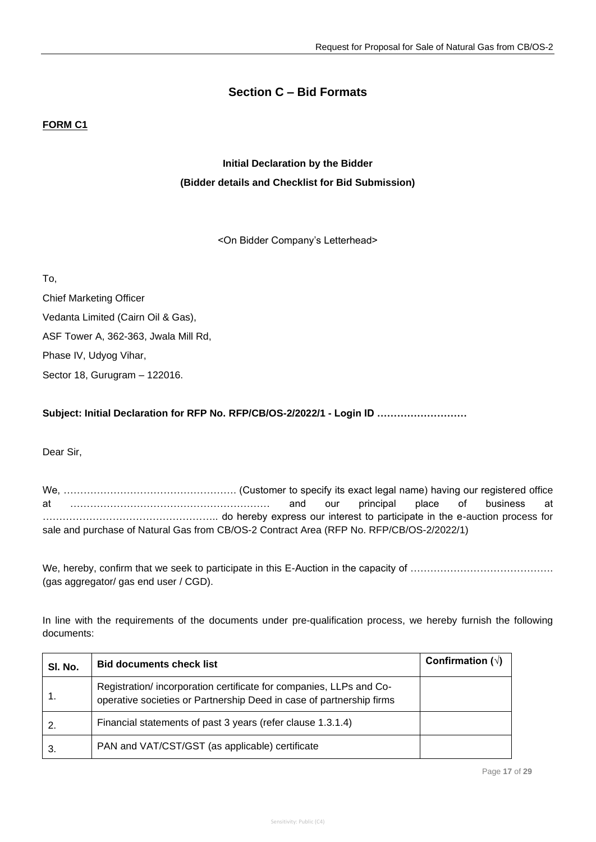### **Section C – Bid Formats**

### **FORM C1**

## **Initial Declaration by the Bidder (Bidder details and Checklist for Bid Submission)**

<On Bidder Company's Letterhead>

To,

Chief Marketing Officer Vedanta Limited (Cairn Oil & Gas), ASF Tower A, 362-363, Jwala Mill Rd, Phase IV, Udyog Vihar, Sector 18, Gurugram – 122016.

**Subject: Initial Declaration for RFP No. RFP/CB/OS-2/2022/1 - Login ID ………………………**

Dear Sir,

We, ……………………………………………. (Customer to specify its exact legal name) having our registered office at …………………………………………………… and our principal place of business at …………………………………………….. do hereby express our interest to participate in the e-auction process for sale and purchase of Natural Gas from CB/OS-2 Contract Area (RFP No. RFP/CB/OS-2/2022/1)

We, hereby, confirm that we seek to participate in this E-Auction in the capacity of ……………………………………. (gas aggregator/ gas end user / CGD).

In line with the requirements of the documents under pre-qualification process, we hereby furnish the following documents:

| SI. No. | <b>Bid documents check list</b>                                                                                                            | Confirmation $(\sqrt{)}$ |
|---------|--------------------------------------------------------------------------------------------------------------------------------------------|--------------------------|
|         | Registration/incorporation certificate for companies, LLPs and Co-<br>operative societies or Partnership Deed in case of partnership firms |                          |
|         | Financial statements of past 3 years (refer clause 1.3.1.4)                                                                                |                          |
|         | PAN and VAT/CST/GST (as applicable) certificate                                                                                            |                          |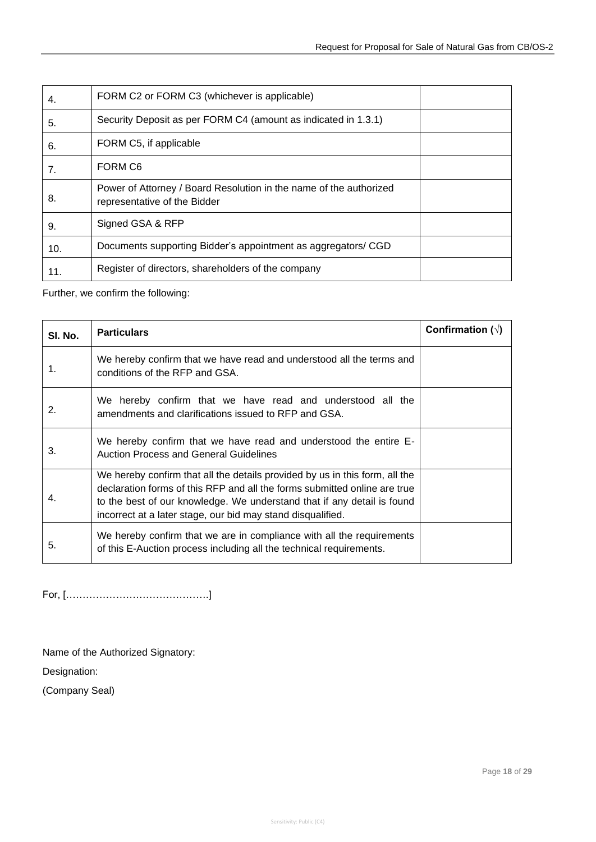| 4.  | FORM C2 or FORM C3 (whichever is applicable)                                                       |  |
|-----|----------------------------------------------------------------------------------------------------|--|
| 5.  | Security Deposit as per FORM C4 (amount as indicated in 1.3.1)                                     |  |
| 6.  | FORM C5, if applicable                                                                             |  |
| 7.  | FORM C <sub>6</sub>                                                                                |  |
| 8.  | Power of Attorney / Board Resolution in the name of the authorized<br>representative of the Bidder |  |
| 9.  | Signed GSA & RFP                                                                                   |  |
| 10. | Documents supporting Bidder's appointment as aggregators/ CGD                                      |  |
| 11. | Register of directors, shareholders of the company                                                 |  |

Further, we confirm the following:

| SI. No. | <b>Particulars</b>                                                                                                                                                                                                                                                                                 | Confirmation $(\sqrt{)}$ |
|---------|----------------------------------------------------------------------------------------------------------------------------------------------------------------------------------------------------------------------------------------------------------------------------------------------------|--------------------------|
| 1.      | We hereby confirm that we have read and understood all the terms and<br>conditions of the RFP and GSA.                                                                                                                                                                                             |                          |
| 2.      | We hereby confirm that we have read and understood all the<br>amendments and clarifications issued to RFP and GSA.                                                                                                                                                                                 |                          |
| 3.      | We hereby confirm that we have read and understood the entire E-<br><b>Auction Process and General Guidelines</b>                                                                                                                                                                                  |                          |
| 4.      | We hereby confirm that all the details provided by us in this form, all the<br>declaration forms of this RFP and all the forms submitted online are true<br>to the best of our knowledge. We understand that if any detail is found<br>incorrect at a later stage, our bid may stand disqualified. |                          |
| 5.      | We hereby confirm that we are in compliance with all the requirements<br>of this E-Auction process including all the technical requirements.                                                                                                                                                       |                          |

For, […………………………………….]

Name of the Authorized Signatory:

Designation:

(Company Seal)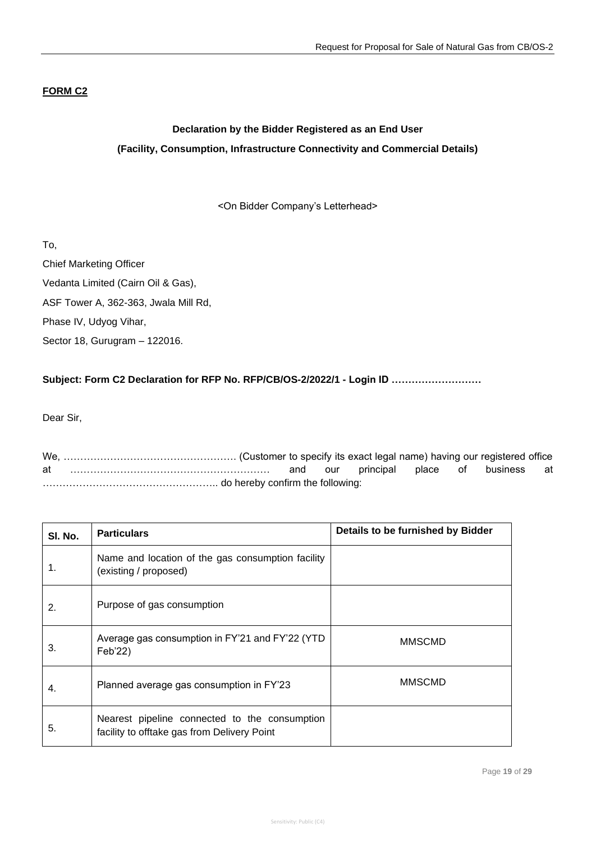### **FORM C2**

## **Declaration by the Bidder Registered as an End User (Facility, Consumption, Infrastructure Connectivity and Commercial Details)**

<On Bidder Company's Letterhead>

To,

Chief Marketing Officer Vedanta Limited (Cairn Oil & Gas), ASF Tower A, 362-363, Jwala Mill Rd, Phase IV, Udyog Vihar, Sector 18, Gurugram – 122016.

### **Subject: Form C2 Declaration for RFP No. RFP/CB/OS-2/2022/1 - Login ID ………………………**

Dear Sir,

We, ……………………………………………. (Customer to specify its exact legal name) having our registered office at …………………………………………………… and our principal place of business at …………………………………………….. do hereby confirm the following:

| SI. No. | <b>Particulars</b>                                                                           | Details to be furnished by Bidder |
|---------|----------------------------------------------------------------------------------------------|-----------------------------------|
| 1.      | Name and location of the gas consumption facility<br>(existing / proposed)                   |                                   |
| 2.      | Purpose of gas consumption                                                                   |                                   |
| 3.      | Average gas consumption in FY'21 and FY'22 (YTD<br>Feb'22)                                   | <b>MMSCMD</b>                     |
| 4.      | Planned average gas consumption in FY'23                                                     | <b>MMSCMD</b>                     |
| 5.      | Nearest pipeline connected to the consumption<br>facility to offtake gas from Delivery Point |                                   |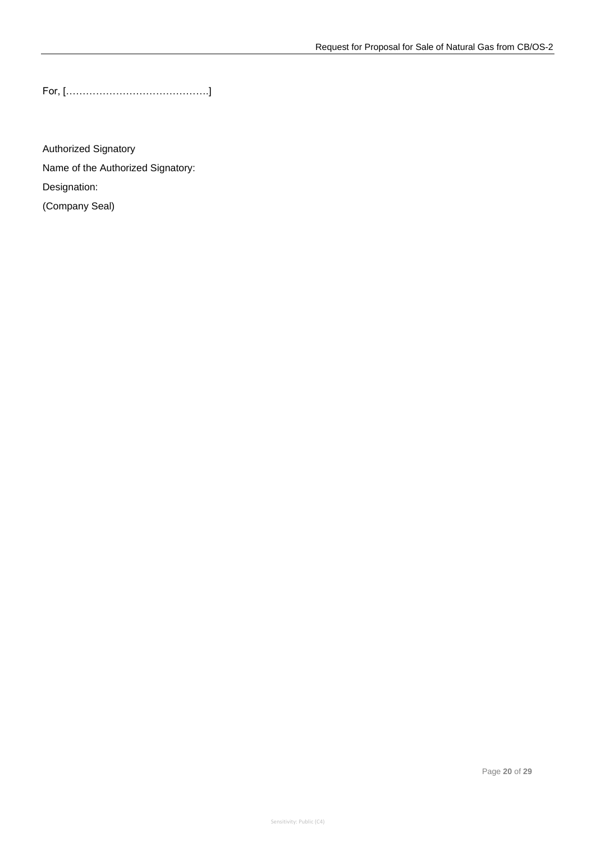For, […………………………………….]

Authorized Signatory Name of the Authorized Signatory: Designation: (Company Seal)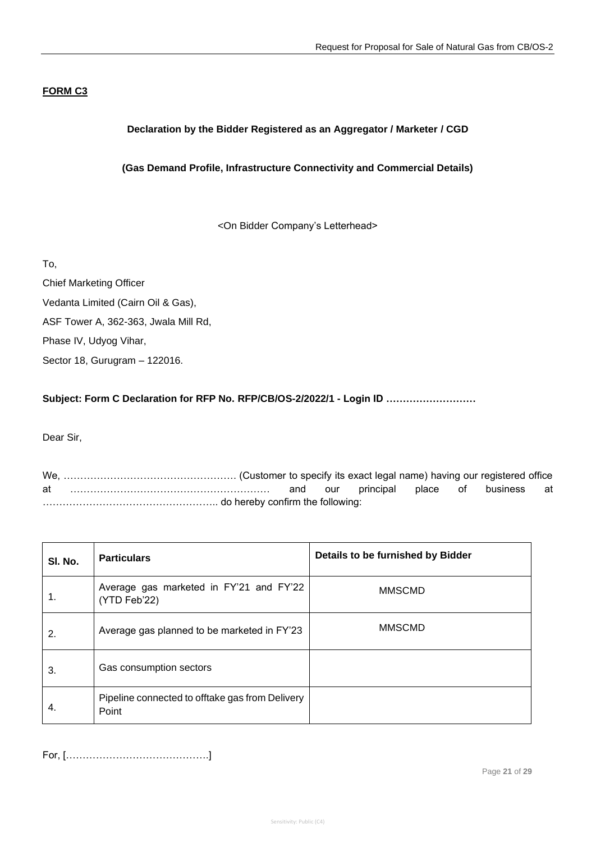### **FORM C3**

### **Declaration by the Bidder Registered as an Aggregator / Marketer / CGD**

### **(Gas Demand Profile, Infrastructure Connectivity and Commercial Details)**

<On Bidder Company's Letterhead>

To,

Chief Marketing Officer Vedanta Limited (Cairn Oil & Gas), ASF Tower A, 362-363, Jwala Mill Rd, Phase IV, Udyog Vihar, Sector 18, Gurugram – 122016.

**Subject: Form C Declaration for RFP No. RFP/CB/OS-2/2022/1 - Login ID ………………………**

Dear Sir,

We, ……………………………………………. (Customer to specify its exact legal name) having our registered office at …………………………………………………… and our principal place of business at …………………………………………….. do hereby confirm the following:

| SI. No. | <b>Particulars</b>                                       | Details to be furnished by Bidder |
|---------|----------------------------------------------------------|-----------------------------------|
| 1.      | Average gas marketed in FY'21 and FY'22<br>(YTD Feb'22)  | <b>MMSCMD</b>                     |
| 2.      | Average gas planned to be marketed in FY'23              | <b>MMSCMD</b>                     |
| 3.      | Gas consumption sectors                                  |                                   |
| 4.      | Pipeline connected to offtake gas from Delivery<br>Point |                                   |

For, […………………………………….]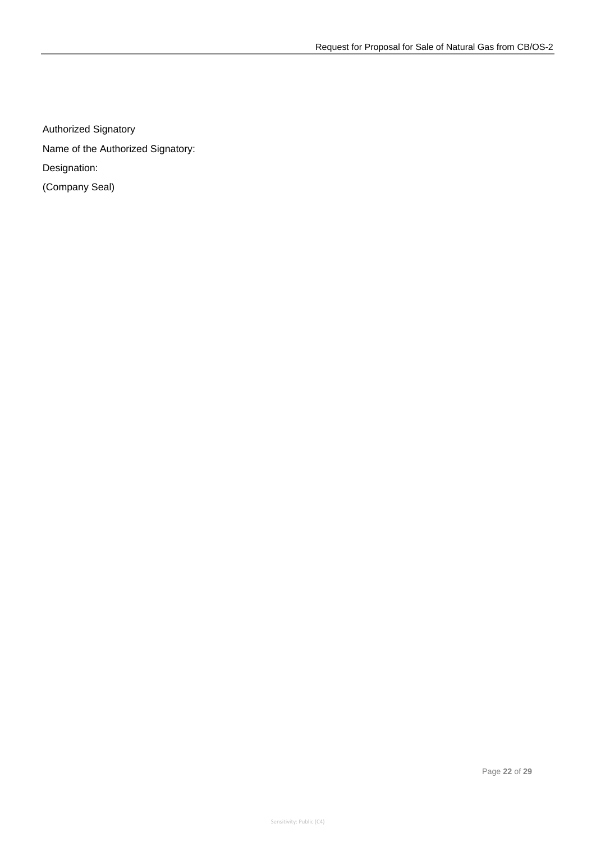Authorized Signatory

Name of the Authorized Signatory:

Designation:

(Company Seal)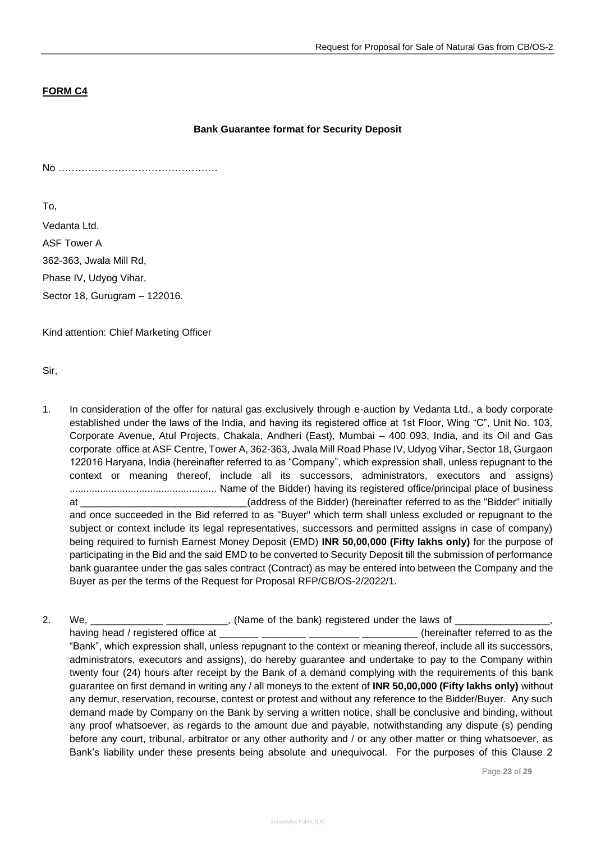### **FORM C4**

#### **Bank Guarantee format for Security Deposit**

No …………………………………………

To,

Vedanta Ltd. ASF Tower A 362-363, Jwala Mill Rd, Phase IV, Udyog Vihar, Sector 18, Gurugram – 122016.

Kind attention: Chief Marketing Officer

Sir,

- 1. In consideration of the offer for natural gas exclusively through e-auction by Vedanta Ltd., a body corporate established under the laws of the India, and having its registered office at 1st Floor, Wing "C", Unit No. 103, Corporate Avenue, Atul Projects, Chakala, Andheri (East), Mumbai – 400 093, India, and its Oil and Gas corporate office at ASF Centre, Tower A, 362-363, Jwala Mill Road Phase IV, Udyog Vihar, Sector 18, Gurgaon 122016 Haryana, India (hereinafter referred to as "Company", which expression shall, unless repugnant to the context or meaning thereof, include all its successors, administrators, executors and assigns) ,.................................................... Name of the Bidder) having its registered office/principal place of business at \_\_\_\_\_\_\_\_\_\_\_\_\_\_\_\_\_\_\_\_\_\_\_\_\_\_\_\_\_\_(address of the Bidder) (hereinafter referred to as the "Bidder" initially and once succeeded in the Bid referred to as "Buyer" which term shall unless excluded or repugnant to the subject or context include its legal representatives, successors and permitted assigns in case of company) being required to furnish Earnest Money Deposit (EMD) **INR 50,00,000 (Fifty lakhs only)** for the purpose of participating in the Bid and the said EMD to be converted to Security Deposit till the submission of performance bank guarantee under the gas sales contract (Contract) as may be entered into between the Company and the Buyer as per the terms of the Request for Proposal RFP/CB/OS-2/2022/1.
- 2. We, the same of the bank) registered under the laws of  $\sim$ having head / registered office at \_\_\_\_\_\_\_ \_\_\_\_\_\_\_\_ \_\_\_\_\_\_\_\_\_ \_\_\_\_\_\_\_\_\_\_ (hereinafter referred to as the "Bank", which expression shall, unless repugnant to the context or meaning thereof, include all its successors, administrators, executors and assigns), do hereby guarantee and undertake to pay to the Company within twenty four (24) hours after receipt by the Bank of a demand complying with the requirements of this bank guarantee on first demand in writing any / all moneys to the extent of **INR 50,00,000 (Fifty lakhs only)** without any demur, reservation, recourse, contest or protest and without any reference to the Bidder/Buyer. Any such demand made by Company on the Bank by serving a written notice, shall be conclusive and binding, without any proof whatsoever, as regards to the amount due and payable, notwithstanding any dispute (s) pending before any court, tribunal, arbitrator or any other authority and / or any other matter or thing whatsoever, as Bank's liability under these presents being absolute and unequivocal. For the purposes of this Clause 2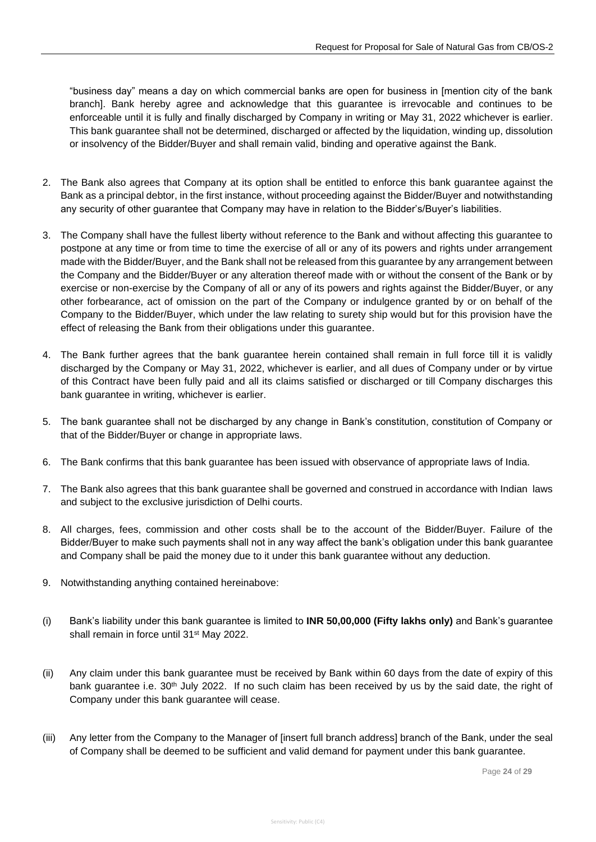"business day" means a day on which commercial banks are open for business in [mention city of the bank branch]. Bank hereby agree and acknowledge that this guarantee is irrevocable and continues to be enforceable until it is fully and finally discharged by Company in writing or May 31, 2022 whichever is earlier. This bank guarantee shall not be determined, discharged or affected by the liquidation, winding up, dissolution or insolvency of the Bidder/Buyer and shall remain valid, binding and operative against the Bank.

- 2. The Bank also agrees that Company at its option shall be entitled to enforce this bank guarantee against the Bank as a principal debtor, in the first instance, without proceeding against the Bidder/Buyer and notwithstanding any security of other guarantee that Company may have in relation to the Bidder's/Buyer's liabilities.
- 3. The Company shall have the fullest liberty without reference to the Bank and without affecting this guarantee to postpone at any time or from time to time the exercise of all or any of its powers and rights under arrangement made with the Bidder/Buyer, and the Bank shall not be released from this guarantee by any arrangement between the Company and the Bidder/Buyer or any alteration thereof made with or without the consent of the Bank or by exercise or non-exercise by the Company of all or any of its powers and rights against the Bidder/Buyer, or any other forbearance, act of omission on the part of the Company or indulgence granted by or on behalf of the Company to the Bidder/Buyer, which under the law relating to surety ship would but for this provision have the effect of releasing the Bank from their obligations under this guarantee.
- 4. The Bank further agrees that the bank guarantee herein contained shall remain in full force till it is validly discharged by the Company or May 31, 2022, whichever is earlier, and all dues of Company under or by virtue of this Contract have been fully paid and all its claims satisfied or discharged or till Company discharges this bank guarantee in writing, whichever is earlier.
- 5. The bank guarantee shall not be discharged by any change in Bank's constitution, constitution of Company or that of the Bidder/Buyer or change in appropriate laws.
- 6. The Bank confirms that this bank guarantee has been issued with observance of appropriate laws of India.
- 7. The Bank also agrees that this bank guarantee shall be governed and construed in accordance with Indian laws and subject to the exclusive jurisdiction of Delhi courts.
- 8. All charges, fees, commission and other costs shall be to the account of the Bidder/Buyer. Failure of the Bidder/Buyer to make such payments shall not in any way affect the bank's obligation under this bank guarantee and Company shall be paid the money due to it under this bank guarantee without any deduction.
- 9. Notwithstanding anything contained hereinabove:
- (i) Bank's liability under this bank guarantee is limited to **INR 50,00,000 (Fifty lakhs only)** and Bank's guarantee shall remain in force until 31<sup>st</sup> May 2022.
- (ii) Any claim under this bank guarantee must be received by Bank within 60 days from the date of expiry of this bank guarantee i.e. 30<sup>th</sup> July 2022. If no such claim has been received by us by the said date, the right of Company under this bank guarantee will cease.
- (iii) Any letter from the Company to the Manager of [insert full branch address] branch of the Bank, under the seal of Company shall be deemed to be sufficient and valid demand for payment under this bank guarantee.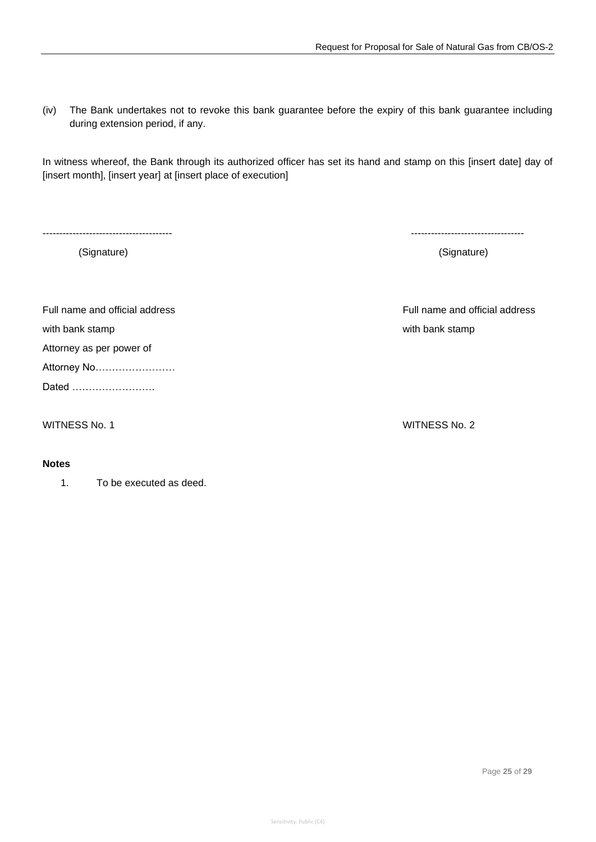(iv) The Bank undertakes not to revoke this bank guarantee before the expiry of this bank guarantee including during extension period, if any.

In witness whereof, the Bank through its authorized officer has set its hand and stamp on this [insert date] day of [insert month], [insert year] at [insert place of execution]

with bank stamp with bank stamp with bank stamp with bank stamp with bank stamp with bank stamp with bank stamp with bank stamp with bank stamp with bank stamp with bank stamp with bank stamp with bank stamp with bank stam

Attorney as per power of

Attorney No……………………

Dated …………………….

#### **Notes**

1. To be executed as deed.

--------------------------------------- ----------------------------------

(Signature) (Signature)

Full name and official address Full name and official address

WITNESS No. 1 WITNESS No. 2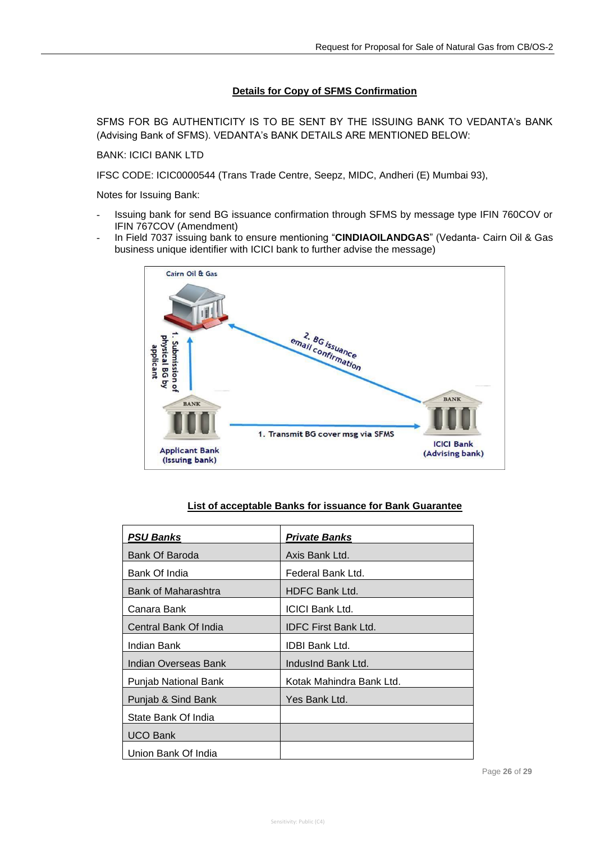### **Details for Copy of SFMS Confirmation**

SFMS FOR BG AUTHENTICITY IS TO BE SENT BY THE ISSUING BANK TO VEDANTA's BANK (Advising Bank of SFMS). VEDANTA's BANK DETAILS ARE MENTIONED BELOW:

BANK: ICICI BANK LTD

IFSC CODE: ICIC0000544 (Trans Trade Centre, Seepz, MIDC, Andheri (E) Mumbai 93),

Notes for Issuing Bank:

- Issuing bank for send BG issuance confirmation through SFMS by message type IFIN 760COV or IFIN 767COV (Amendment)
- In Field 7037 issuing bank to ensure mentioning "**CINDIAOILANDGAS**" (Vedanta- Cairn Oil & Gas business unique identifier with ICICI bank to further advise the message)



#### **List of acceptable Banks for issuance for Bank Guarantee**

| <b>PSU Banks</b>      | <b>Private Banks</b>        |
|-----------------------|-----------------------------|
| Bank Of Baroda        | Axis Bank Ltd.              |
| Bank Of India         | Federal Bank Ltd.           |
| Bank of Maharashtra   | <b>HDFC Bank Ltd.</b>       |
| Canara Bank           | <b>ICICI Bank Ltd.</b>      |
| Central Bank Of India | <b>IDFC First Bank Ltd.</b> |
| Indian Bank           | <b>IDBI Bank Ltd.</b>       |
| Indian Overseas Bank  | IndusInd Bank Ltd.          |
| Punjab National Bank  | Kotak Mahindra Bank Ltd.    |
| Punjab & Sind Bank    | Yes Bank Ltd.               |
| State Bank Of India   |                             |
| <b>UCO Bank</b>       |                             |
| Union Bank Of India   |                             |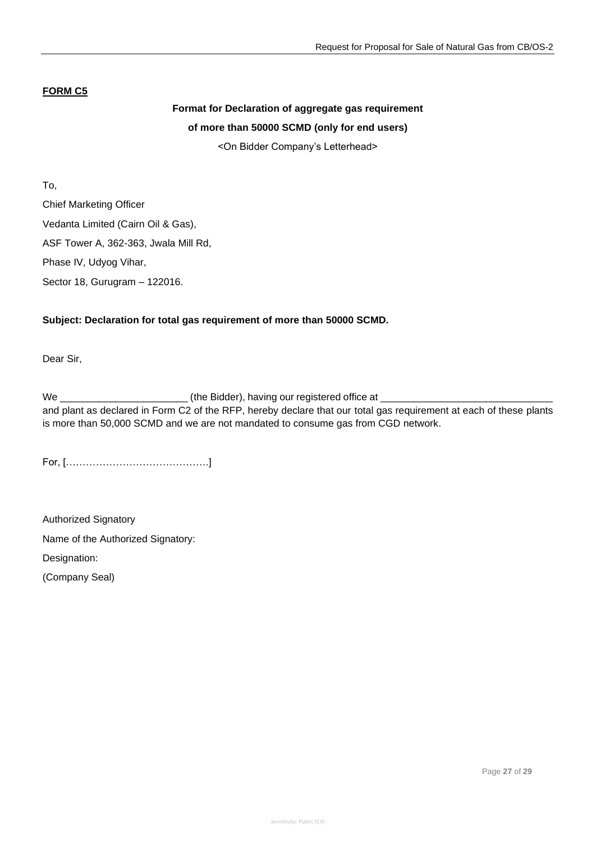### **FORM C5**

### **Format for Declaration of aggregate gas requirement of more than 50000 SCMD (only for end users)**

<On Bidder Company's Letterhead>

To, Chief Marketing Officer Vedanta Limited (Cairn Oil & Gas), ASF Tower A, 362-363, Jwala Mill Rd, Phase IV, Udyog Vihar, Sector 18, Gurugram – 122016.

### **Subject: Declaration for total gas requirement of more than 50000 SCMD.**

Dear Sir,

We \_\_\_\_\_\_\_\_\_\_\_\_\_\_\_\_\_\_\_\_\_\_\_ (the Bidder), having our registered office at \_\_\_\_\_\_\_\_\_\_\_\_\_\_\_\_\_\_\_\_\_\_\_\_\_\_\_\_\_\_\_ and plant as declared in Form C2 of the RFP, hereby declare that our total gas requirement at each of these plants is more than 50,000 SCMD and we are not mandated to consume gas from CGD network.

For, […………………………………….]

Authorized Signatory Name of the Authorized Signatory: Designation:

(Company Seal)